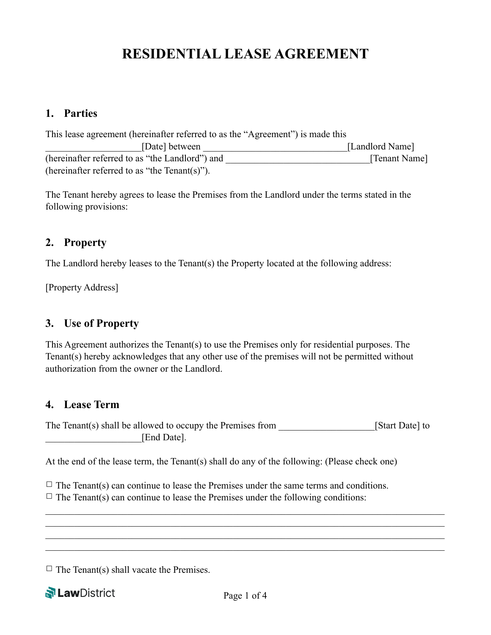# **RESIDENTIAL LEASE AGREEMENT**

#### **1. Parties**

| This lease agreement (hereinafter referred to as the "Agreement") is made this |                 |
|--------------------------------------------------------------------------------|-----------------|
| [Date] between                                                                 | [Landlord Name] |
| (hereinafter referred to as "the Landlord") and                                | [Tenant Name]   |
| (hereinafter referred to as "the $Tenant(s)$ ").                               |                 |

The Tenant hereby agrees to lease the Premises from the Landlord under the terms stated in the following provisions:

#### **2. Property**

The Landlord hereby leases to the Tenant(s) the Property located at the following address:

[Property Address]

#### **3. Use of Property**

This Agreement authorizes the Tenant(s) to use the Premises only for residential purposes. The Tenant(s) hereby acknowledges that any other use of the premises will not be permitted without authorization from the owner or the Landlord.

#### **4. Lease Term**

The Tenant(s) shall be allowed to occupy the Premises from [Start Date] to [Start Date] to  $[End$  Date].

At the end of the lease term, the Tenant(s) shall do any of the following: (Please check one)

 $\Box$  The Tenant(s) can continue to lease the Premises under the same terms and conditions.  $\Box$  The Tenant(s) can continue to lease the Premises under the following conditions:

 $\Box$  The Tenant(s) shall vacate the Premises.

**N**LawDistrict

 $\mathcal{L}_\mathcal{L} = \{ \mathcal{L}_\mathcal{L} = \{ \mathcal{L}_\mathcal{L} = \{ \mathcal{L}_\mathcal{L} = \{ \mathcal{L}_\mathcal{L} = \{ \mathcal{L}_\mathcal{L} = \{ \mathcal{L}_\mathcal{L} = \{ \mathcal{L}_\mathcal{L} = \{ \mathcal{L}_\mathcal{L} = \{ \mathcal{L}_\mathcal{L} = \{ \mathcal{L}_\mathcal{L} = \{ \mathcal{L}_\mathcal{L} = \{ \mathcal{L}_\mathcal{L} = \{ \mathcal{L}_\mathcal{L} = \{ \mathcal{L}_\mathcal{$  $\mathcal{L}_\mathcal{L} = \{ \mathcal{L}_\mathcal{L} = \{ \mathcal{L}_\mathcal{L} = \{ \mathcal{L}_\mathcal{L} = \{ \mathcal{L}_\mathcal{L} = \{ \mathcal{L}_\mathcal{L} = \{ \mathcal{L}_\mathcal{L} = \{ \mathcal{L}_\mathcal{L} = \{ \mathcal{L}_\mathcal{L} = \{ \mathcal{L}_\mathcal{L} = \{ \mathcal{L}_\mathcal{L} = \{ \mathcal{L}_\mathcal{L} = \{ \mathcal{L}_\mathcal{L} = \{ \mathcal{L}_\mathcal{L} = \{ \mathcal{L}_\mathcal{$  $\mathcal{L}_\mathcal{L} = \{ \mathcal{L}_\mathcal{L} = \{ \mathcal{L}_\mathcal{L} = \{ \mathcal{L}_\mathcal{L} = \{ \mathcal{L}_\mathcal{L} = \{ \mathcal{L}_\mathcal{L} = \{ \mathcal{L}_\mathcal{L} = \{ \mathcal{L}_\mathcal{L} = \{ \mathcal{L}_\mathcal{L} = \{ \mathcal{L}_\mathcal{L} = \{ \mathcal{L}_\mathcal{L} = \{ \mathcal{L}_\mathcal{L} = \{ \mathcal{L}_\mathcal{L} = \{ \mathcal{L}_\mathcal{L} = \{ \mathcal{L}_\mathcal{$  $\mathcal{L}_\mathcal{L} = \{ \mathcal{L}_\mathcal{L} = \{ \mathcal{L}_\mathcal{L} = \{ \mathcal{L}_\mathcal{L} = \{ \mathcal{L}_\mathcal{L} = \{ \mathcal{L}_\mathcal{L} = \{ \mathcal{L}_\mathcal{L} = \{ \mathcal{L}_\mathcal{L} = \{ \mathcal{L}_\mathcal{L} = \{ \mathcal{L}_\mathcal{L} = \{ \mathcal{L}_\mathcal{L} = \{ \mathcal{L}_\mathcal{L} = \{ \mathcal{L}_\mathcal{L} = \{ \mathcal{L}_\mathcal{L} = \{ \mathcal{L}_\mathcal{$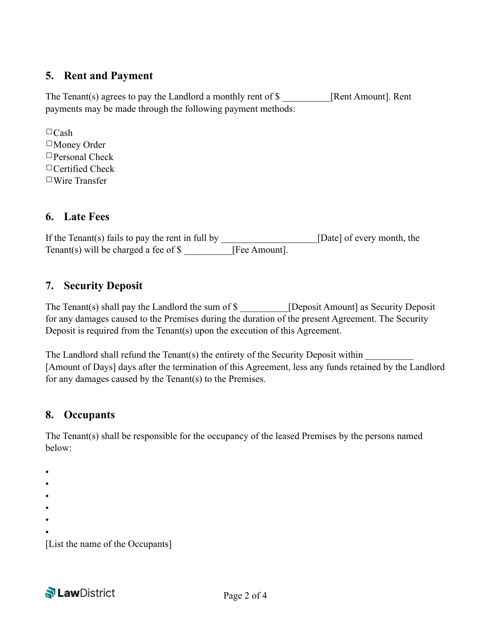## **5. Rent and Payment**

The Tenant(s) agrees to pay the Landlord a monthly rent of \$ [Rent Amount]. Rent payments may be made through the following payment methods:

 $\Box$ Cash ☐Money Order ☐Personal Check □Certified Check ☐Wire Transfer

## **6. Late Fees**

If the Tenant(s) fails to pay the rent in full by \_\_\_\_\_\_\_\_\_\_\_\_\_\_\_\_\_\_\_\_[Date] of every month, the Tenant(s) will be charged a fee of \$ [Fee Amount].

#### **7. Security Deposit**

The Tenant(s) shall pay the Landlord the sum of \$ \_\_\_\_\_\_\_\_\_ [Deposit Amount] as Security Deposit for any damages caused to the Premises during the duration of the present Agreement. The Security Deposit is required from the Tenant(s) upon the execution of this Agreement.

The Landlord shall refund the Tenant(s) the entirety of the Security Deposit within [Amount of Days] days after the termination of this Agreement, less any funds retained by the Landlord for any damages caused by the Tenant(s) to the Premises.

## **8. Occupants**

The Tenant(s) shall be responsible for the occupancy of the leased Premises by the persons named below:

• • • • • • [List the name of the Occupants]

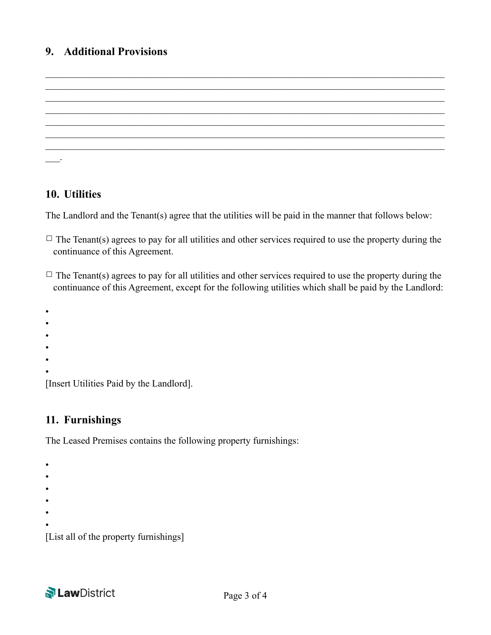#### **9. Additional Provisions**

```
\mathcal{L}_\mathcal{L} = \{ \mathcal{L}_\mathcal{L} = \{ \mathcal{L}_\mathcal{L} = \{ \mathcal{L}_\mathcal{L} = \{ \mathcal{L}_\mathcal{L} = \{ \mathcal{L}_\mathcal{L} = \{ \mathcal{L}_\mathcal{L} = \{ \mathcal{L}_\mathcal{L} = \{ \mathcal{L}_\mathcal{L} = \{ \mathcal{L}_\mathcal{L} = \{ \mathcal{L}_\mathcal{L} = \{ \mathcal{L}_\mathcal{L} = \{ \mathcal{L}_\mathcal{L} = \{ \mathcal{L}_\mathcal{L} = \{ \mathcal{L}_\mathcal{\mathcal{L}_\mathcal{L} = \{ \mathcal{L}_\mathcal{L} = \{ \mathcal{L}_\mathcal{L} = \{ \mathcal{L}_\mathcal{L} = \{ \mathcal{L}_\mathcal{L} = \{ \mathcal{L}_\mathcal{L} = \{ \mathcal{L}_\mathcal{L} = \{ \mathcal{L}_\mathcal{L} = \{ \mathcal{L}_\mathcal{L} = \{ \mathcal{L}_\mathcal{L} = \{ \mathcal{L}_\mathcal{L} = \{ \mathcal{L}_\mathcal{L} = \{ \mathcal{L}_\mathcal{L} = \{ \mathcal{L}_\mathcal{L} = \{ \mathcal{L}_\mathcal{\mathcal{L}_\mathcal{L} = \{ \mathcal{L}_\mathcal{L} = \{ \mathcal{L}_\mathcal{L} = \{ \mathcal{L}_\mathcal{L} = \{ \mathcal{L}_\mathcal{L} = \{ \mathcal{L}_\mathcal{L} = \{ \mathcal{L}_\mathcal{L} = \{ \mathcal{L}_\mathcal{L} = \{ \mathcal{L}_\mathcal{L} = \{ \mathcal{L}_\mathcal{L} = \{ \mathcal{L}_\mathcal{L} = \{ \mathcal{L}_\mathcal{L} = \{ \mathcal{L}_\mathcal{L} = \{ \mathcal{L}_\mathcal{L} = \{ \mathcal{L}_\mathcal{\mathcal{L}_\mathcal{L} = \{ \mathcal{L}_\mathcal{L} = \{ \mathcal{L}_\mathcal{L} = \{ \mathcal{L}_\mathcal{L} = \{ \mathcal{L}_\mathcal{L} = \{ \mathcal{L}_\mathcal{L} = \{ \mathcal{L}_\mathcal{L} = \{ \mathcal{L}_\mathcal{L} = \{ \mathcal{L}_\mathcal{L} = \{ \mathcal{L}_\mathcal{L} = \{ \mathcal{L}_\mathcal{L} = \{ \mathcal{L}_\mathcal{L} = \{ \mathcal{L}_\mathcal{L} = \{ \mathcal{L}_\mathcal{L} = \{ \mathcal{L}_\mathcal{\mathcal{L}_\mathcal{L} = \{ \mathcal{L}_\mathcal{L} = \{ \mathcal{L}_\mathcal{L} = \{ \mathcal{L}_\mathcal{L} = \{ \mathcal{L}_\mathcal{L} = \{ \mathcal{L}_\mathcal{L} = \{ \mathcal{L}_\mathcal{L} = \{ \mathcal{L}_\mathcal{L} = \{ \mathcal{L}_\mathcal{L} = \{ \mathcal{L}_\mathcal{L} = \{ \mathcal{L}_\mathcal{L} = \{ \mathcal{L}_\mathcal{L} = \{ \mathcal{L}_\mathcal{L} = \{ \mathcal{L}_\mathcal{L} = \{ \mathcal{L}_\mathcal{\mathcal{L}_\mathcal{L} = \{ \mathcal{L}_\mathcal{L} = \{ \mathcal{L}_\mathcal{L} = \{ \mathcal{L}_\mathcal{L} = \{ \mathcal{L}_\mathcal{L} = \{ \mathcal{L}_\mathcal{L} = \{ \mathcal{L}_\mathcal{L} = \{ \mathcal{L}_\mathcal{L} = \{ \mathcal{L}_\mathcal{L} = \{ \mathcal{L}_\mathcal{L} = \{ \mathcal{L}_\mathcal{L} = \{ \mathcal{L}_\mathcal{L} = \{ \mathcal{L}_\mathcal{L} = \{ \mathcal{L}_\mathcal{L} = \{ \mathcal{L}_\mathcal{\overline{\phantom{a}}.
```
 $\mathcal{L}_\mathcal{L} = \{ \mathcal{L}_\mathcal{L} = \{ \mathcal{L}_\mathcal{L} = \{ \mathcal{L}_\mathcal{L} = \{ \mathcal{L}_\mathcal{L} = \{ \mathcal{L}_\mathcal{L} = \{ \mathcal{L}_\mathcal{L} = \{ \mathcal{L}_\mathcal{L} = \{ \mathcal{L}_\mathcal{L} = \{ \mathcal{L}_\mathcal{L} = \{ \mathcal{L}_\mathcal{L} = \{ \mathcal{L}_\mathcal{L} = \{ \mathcal{L}_\mathcal{L} = \{ \mathcal{L}_\mathcal{L} = \{ \mathcal{L}_\mathcal{$ 

#### **10. Utilities**

The Landlord and the Tenant(s) agree that the utilities will be paid in the manner that follows below:

- $\Box$  The Tenant(s) agrees to pay for all utilities and other services required to use the property during the continuance of this Agreement.
- $\Box$  The Tenant(s) agrees to pay for all utilities and other services required to use the property during the continuance of this Agreement, except for the following utilities which shall be paid by the Landlord:

•

- •
- •
- •
- •
- •

[Insert Utilities Paid by the Landlord].

# **11. Furnishings**

The Leased Premises contains the following property furnishings:

• • • • • •